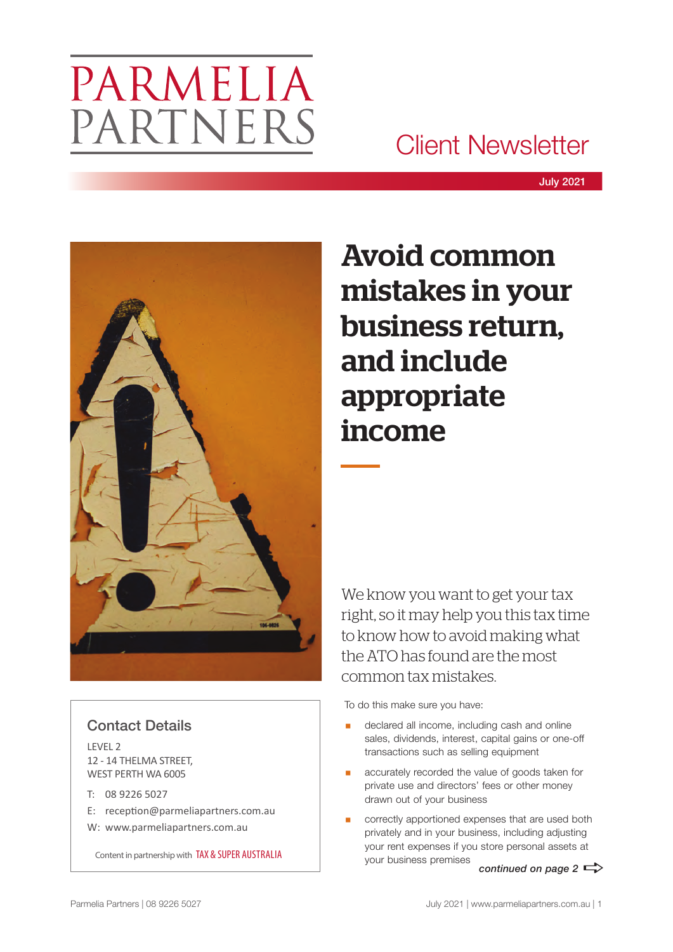# PARMELIA PARTNERS

# Client Newsletter



# Avoid common mistakes in your business return, and include appropriate income

We know you want to get your tax right, so it may help you this tax time to know how to avoid making what the ATO has found are the most common tax mistakes.

To do this make sure you have:

- declared all income, including cash and online sales, dividends, interest, capital gains or one-off transactions such as selling equipment
- accurately recorded the value of goods taken for private use and directors' fees or other money drawn out of your business
- correctly apportioned expenses that are used both privately and in your business, including adjusting your rent expenses if you store personal assets at your business premises *continued on page 2*  $\Rightarrow$

## Contact Details

LEVEL 2 12 - 14 THELMA STREET, WEST PERTH WA 6005

- T: 08 9226 5027
- E: reception@parmeliapartners.com.au
- W: www.parmeliapartners.com.au

Content in partnership with TAX & SUPER AUSTRALIA

Parmelia Partners | 08 9226 5027 July 2021 | www.parmeliapartners.com.au | 1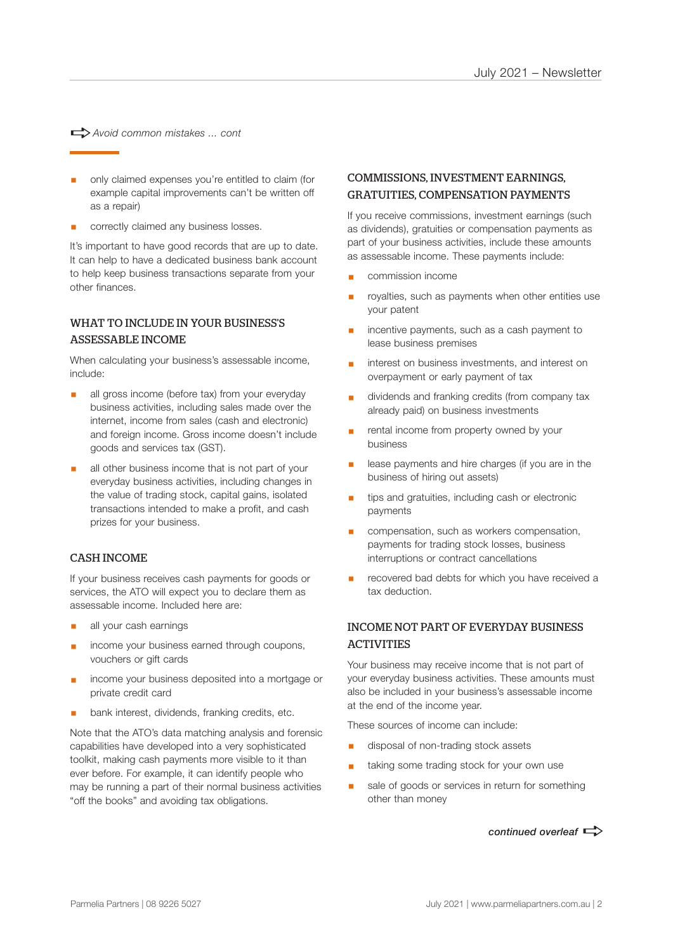a*Avoid common mistakes ... cont*

- § only claimed expenses you're entitled to claim (for example capital improvements can't be written off as a repair)
- § correctly claimed any business losses.

It's important to have good records that are up to date. It can help to have a dedicated business bank account to help keep business transactions separate from your other finances.

### WHAT TO INCLUDE IN YOUR BUSINESS'S ASSESSABLE INCOME

When calculating your business's assessable income, include:

- all gross income (before tax) from your everyday business activities, including sales made over the internet, income from sales (cash and electronic) and foreign income. Gross income doesn't include goods and services tax (GST).
- all other business income that is not part of your everyday business activities, including changes in the value of trading stock, capital gains, isolated transactions intended to make a profit, and cash prizes for your business.

#### CASH INCOME

If your business receives cash payments for goods or services, the ATO will expect you to declare them as assessable income. Included here are:

- all your cash earnings
- income your business earned through coupons, vouchers or gift cards
- § income your business deposited into a mortgage or private credit card
- bank interest, dividends, franking credits, etc.

Note that the ATO's data matching analysis and forensic capabilities have developed into a very sophisticated toolkit, making cash payments more visible to it than ever before. For example, it can identify people who may be running a part of their normal business activities "off the books" and avoiding tax obligations.

### COMMISSIONS, INVESTMENT EARNINGS, GRATUITIES, COMPENSATION PAYMENTS

If you receive commissions, investment earnings (such as dividends), gratuities or compensation payments as part of your business activities, include these amounts as assessable income. These payments include:

- § commission income
- royalties, such as payments when other entities use your patent
- incentive payments, such as a cash payment to lease business premises
- interest on business investments, and interest on overpayment or early payment of tax
- § dividends and franking credits (from company tax already paid) on business investments
- rental income from property owned by your business
- lease payments and hire charges (if you are in the business of hiring out assets)
- tips and gratuities, including cash or electronic payments
- compensation, such as workers compensation, payments for trading stock losses, business interruptions or contract cancellations
- recovered bad debts for which you have received a tax deduction.

### INCOME NOT PART OF EVERYDAY BUSINESS **ACTIVITIES**

Your business may receive income that is not part of your everyday business activities. These amounts must also be included in your business's assessable income at the end of the income year.

These sources of income can include:

- § disposal of non-trading stock assets
- taking some trading stock for your own use
- sale of goods or services in return for something other than money

*continued overleaf*  $\Rightarrow$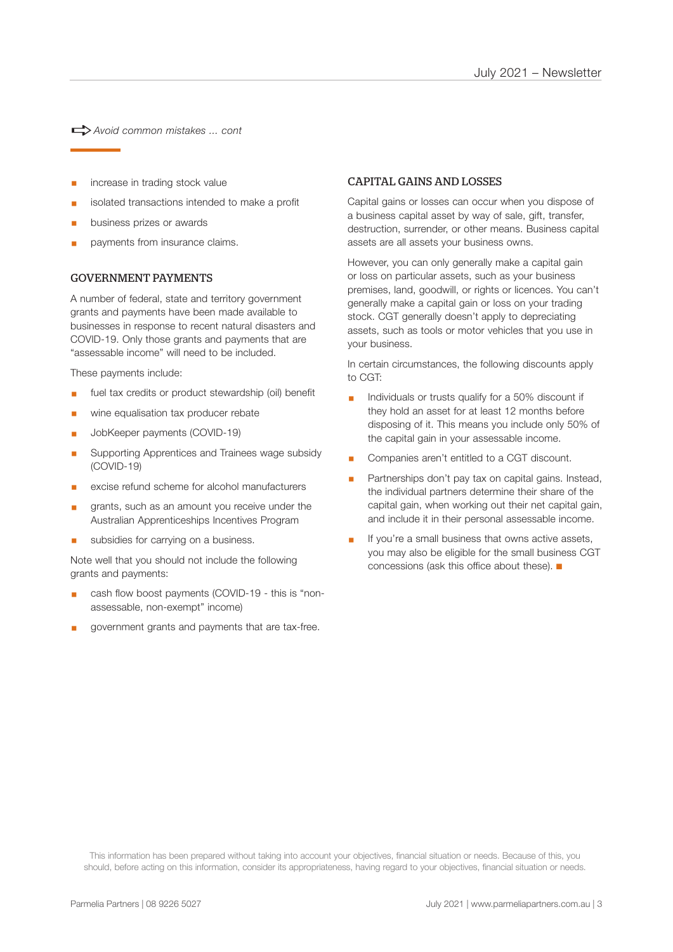a*Avoid common mistakes ... cont*

- increase in trading stock value
- isolated transactions intended to make a profit
- § business prizes or awards
- § payments from insurance claims.

#### GOVERNMENT PAYMENTS

A number of federal, state and territory government grants and payments have been made available to businesses in response to recent natural disasters and COVID-19. Only those grants and payments that are "assessable income" will need to be included.

These payments include:

- fuel tax credits or product stewardship (oil) benefit
- wine equalisation tax producer rebate
- § JobKeeper payments (COVID-19)
- § Supporting Apprentices and Trainees wage subsidy (COVID-19)
- excise refund scheme for alcohol manufacturers
- grants, such as an amount you receive under the Australian Apprenticeships Incentives Program
- § subsidies for carrying on a business.

Note well that you should not include the following grants and payments:

- cash flow boost payments (COVID-19 this is "nonassessable, non-exempt" income)
- § government grants and payments that are tax-free.

#### CAPITAL GAINS AND LOSSES

Capital gains or losses can occur when you dispose of a business capital asset by way of sale, gift, transfer, destruction, surrender, or other means. Business capital assets are all assets your business owns.

However, you can only generally make a capital gain or loss on particular assets, such as your business premises, land, goodwill, or rights or licences. You can't generally make a capital gain or loss on your trading stock. CGT generally doesn't apply to depreciating assets, such as tools or motor vehicles that you use in your business.

In certain circumstances, the following discounts apply to CGT:

- Individuals or trusts qualify for a 50% discount if they hold an asset for at least 12 months before disposing of it. This means you include only 50% of the capital gain in your assessable income.
- § Companies aren't entitled to a CGT discount.
- Partnerships don't pay tax on capital gains. Instead, the individual partners determine their share of the capital gain, when working out their net capital gain, and include it in their personal assessable income.
- If you're a small business that owns active assets, you may also be eligible for the small business CGT concessions (ask this office about these).  $\blacksquare$

This information has been prepared without taking into account your objectives, financial situation or needs. Because of this, you should, before acting on this information, consider its appropriateness, having regard to your objectives, financial situation or needs.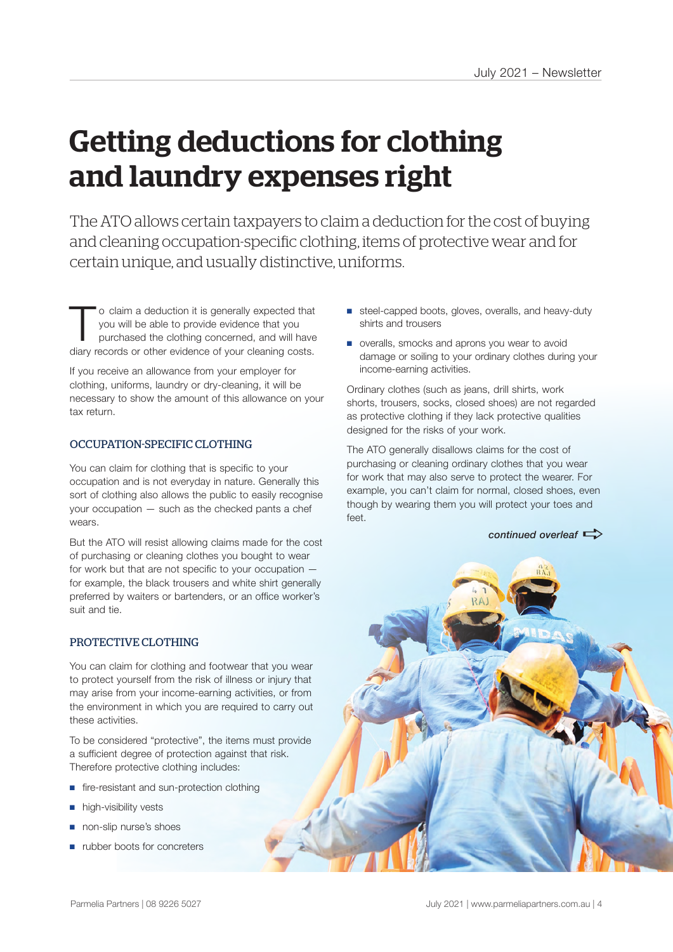# Getting deductions for clothing and laundry expenses right

The ATO allows certain taxpayers to claim a deduction for the cost of buying and cleaning occupation-specific clothing, items of protective wear and for certain unique, and usually distinctive, uniforms.

To claim a deduction it is generally expected that you will be able to provide evidence that you purchased the clothing concerned, and will have you will be able to provide evidence that you diary records or other evidence of your cleaning costs.

If you receive an allowance from your employer for clothing, uniforms, laundry or dry-cleaning, it will be necessary to show the amount of this allowance on your tax return.

#### OCCUPATION-SPECIFIC CLOTHING

You can claim for clothing that is specific to your occupation and is not everyday in nature. Generally this sort of clothing also allows the public to easily recognise your occupation — such as the checked pants a chef wears.

But the ATO will resist allowing claims made for the cost of purchasing or cleaning clothes you bought to wear for work but that are not specific to your occupation for example, the black trousers and white shirt generally preferred by waiters or bartenders, or an office worker's suit and tie.

#### PROTECTIVE CLOTHING

You can claim for clothing and footwear that you wear to protect yourself from the risk of illness or injury that may arise from your income-earning activities, or from the environment in which you are required to carry out these activities.

To be considered "protective", the items must provide a sufficient degree of protection against that risk. Therefore protective clothing includes:

- fire-resistant and sun-protection clothing
- high-visibility vests
- non-slip nurse's shoes
- rubber boots for concreters
- steel-capped boots, gloves, overalls, and heavy-duty shirts and trousers
- overalls, smocks and aprons you wear to avoid damage or soiling to your ordinary clothes during your income-earning activities.

Ordinary clothes (such as jeans, drill shirts, work shorts, trousers, socks, closed shoes) are not regarded as protective clothing if they lack protective qualities designed for the risks of your work.

The ATO generally disallows claims for the cost of purchasing or cleaning ordinary clothes that you wear for work that may also serve to protect the wearer. For example, you can't claim for normal, closed shoes, even though by wearing them you will protect your toes and feet.

*continued overleaf*  $\Rightarrow$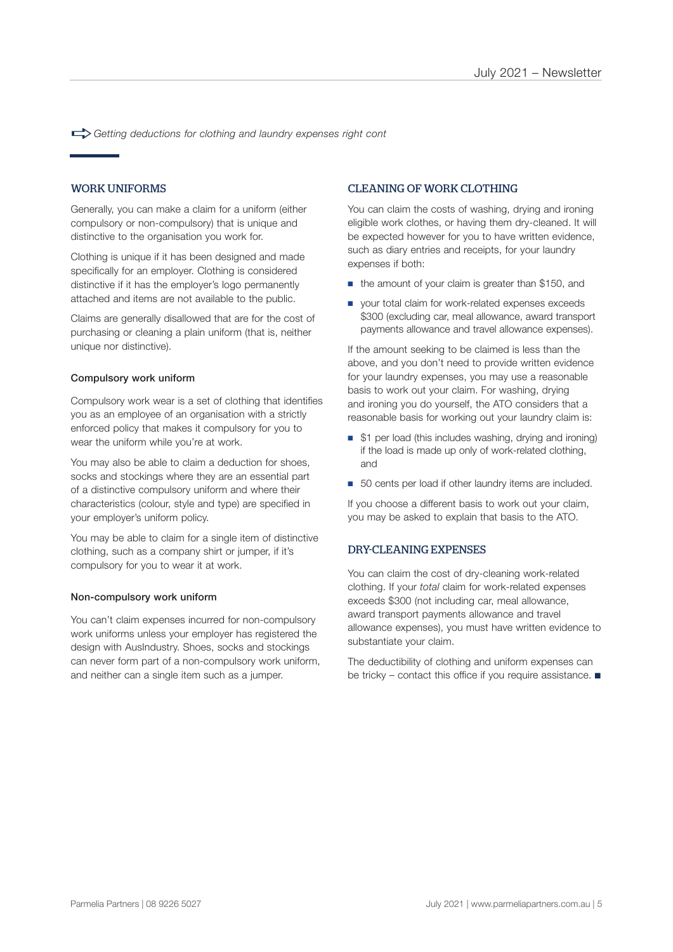a*Getting deductions for clothing and laundry expenses right cont*

#### WORK UNIFORMS

Generally, you can make a claim for a uniform (either compulsory or non-compulsory) that is unique and distinctive to the organisation you work for.

Clothing is unique if it has been designed and made specifically for an employer. Clothing is considered distinctive if it has the employer's logo permanently attached and items are not available to the public.

Claims are generally disallowed that are for the cost of purchasing or cleaning a plain uniform (that is, neither unique nor distinctive).

#### Compulsory work uniform

Compulsory work wear is a set of clothing that identifies you as an employee of an organisation with a strictly enforced policy that makes it compulsory for you to wear the uniform while you're at work.

You may also be able to claim a deduction for shoes, socks and stockings where they are an essential part of a distinctive compulsory uniform and where their characteristics (colour, style and type) are specified in your employer's uniform policy.

You may be able to claim for a single item of distinctive clothing, such as a company shirt or jumper, if it's compulsory for you to wear it at work.

#### Non-compulsory work uniform

You can't claim expenses incurred for non-compulsory work uniforms unless your employer has registered the design with AusIndustry. Shoes, socks and stockings can never form part of a non-compulsory work uniform, and neither can a single item such as a jumper.

#### CLEANING OF WORK CLOTHING

You can claim the costs of washing, drying and ironing eligible work clothes, or having them dry-cleaned. It will be expected however for you to have written evidence, such as diary entries and receipts, for your laundry expenses if both:

- the amount of your claim is greater than \$150, and
- your total claim for work-related expenses exceeds \$300 (excluding car, meal allowance, award transport payments allowance and travel allowance expenses).

If the amount seeking to be claimed is less than the above, and you don't need to provide written evidence for your laundry expenses, you may use a reasonable basis to work out your claim. For washing, drying and ironing you do yourself, the ATO considers that a reasonable basis for working out your laundry claim is:

- \$1 per load (this includes washing, drying and ironing) if the load is made up only of work-related clothing, and
- 50 cents per load if other laundry items are included.

If you choose a different basis to work out your claim, you may be asked to explain that basis to the ATO.

#### DRY-CLEANING EXPENSES

You can claim the cost of dry-cleaning work-related clothing. If your *total* claim for work-related expenses exceeds \$300 (not including car, meal allowance, award transport payments allowance and travel allowance expenses), you must have written evidence to substantiate your claim.

The deductibility of clothing and uniform expenses can be tricky – contact this office if you require assistance.  $\blacksquare$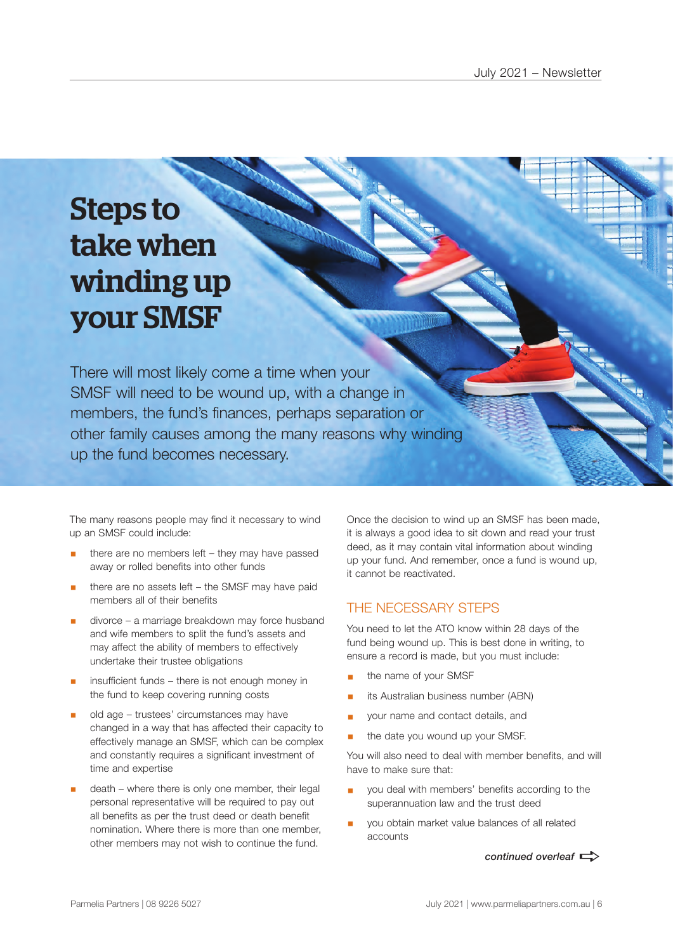# Steps to take when winding up your SMSF

There will most likely come a time when your SMSF will need to be wound up, with a change in members, the fund's finances, perhaps separation or other family causes among the many reasons why winding up the fund becomes necessary.

The many reasons people may find it necessary to wind up an SMSF could include:

- there are no members left they may have passed away or rolled benefits into other funds
- there are no assets left the SMSF may have paid members all of their benefits
- divorce a marriage breakdown may force husband and wife members to split the fund's assets and may affect the ability of members to effectively undertake their trustee obligations
- insufficient funds there is not enough money in the fund to keep covering running costs
- § old age trustees' circumstances may have changed in a way that has affected their capacity to effectively manage an SMSF, which can be complex and constantly requires a significant investment of time and expertise
- death where there is only one member, their legal personal representative will be required to pay out all benefits as per the trust deed or death benefit nomination. Where there is more than one member, other members may not wish to continue the fund.

Once the decision to wind up an SMSF has been made, it is always a good idea to sit down and read your trust deed, as it may contain vital information about winding up your fund. And remember, once a fund is wound up, it cannot be reactivated.

### THE NECESSARY STEPS

You need to let the ATO know within 28 days of the fund being wound up. This is best done in writing, to ensure a record is made, but you must include:

- § the name of your SMSF
- its Australian business number (ABN)
- § your name and contact details, and
- the date you wound up your SMSF.

You will also need to deal with member benefits, and will have to make sure that:

- you deal with members' benefits according to the superannuation law and the trust deed
- § you obtain market value balances of all related accounts

*continued overleaf*  $\Rightarrow$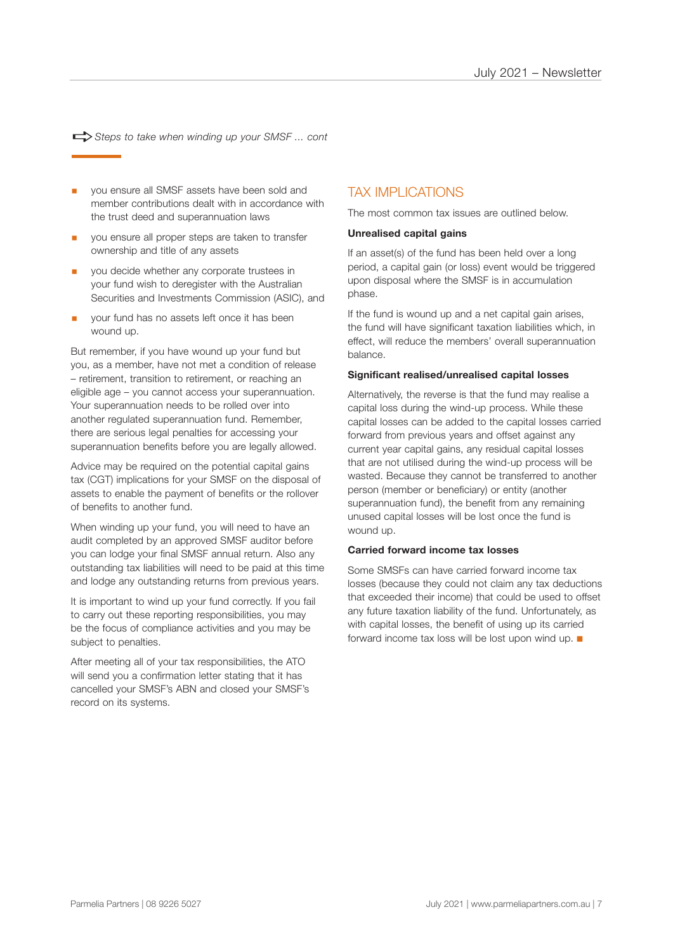$\Rightarrow$  Steps to take when winding up your SMSF ... cont

- you ensure all SMSF assets have been sold and member contributions dealt with in accordance with the trust deed and superannuation laws
- § you ensure all proper steps are taken to transfer ownership and title of any assets
- § you decide whether any corporate trustees in your fund wish to deregister with the Australian Securities and Investments Commission (ASIC), and
- § your fund has no assets left once it has been wound up.

But remember, if you have wound up your fund but you, as a member, have not met a condition of release – retirement, transition to retirement, or reaching an eligible age – you cannot access your superannuation. Your superannuation needs to be rolled over into another regulated superannuation fund. Remember, there are serious legal penalties for accessing your superannuation benefits before you are legally allowed.

Advice may be required on the potential capital gains tax (CGT) implications for your SMSF on the disposal of assets to enable the payment of benefits or the rollover of benefits to another fund.

When winding up your fund, you will need to have an audit completed by an approved SMSF auditor before you can lodge your final SMSF annual return. Also any outstanding tax liabilities will need to be paid at this time and lodge any outstanding returns from previous years.

It is important to wind up your fund correctly. If you fail to carry out these reporting responsibilities, you may be the focus of compliance activities and you may be subject to penalties.

After meeting all of your tax responsibilities, the ATO will send you a confirmation letter stating that it has cancelled your SMSF's ABN and closed your SMSF's record on its systems.

### TAX IMPLICATIONS

The most common tax issues are outlined below.

#### **Unrealised capital gains**

If an asset(s) of the fund has been held over a long period, a capital gain (or loss) event would be triggered upon disposal where the SMSF is in accumulation phase.

If the fund is wound up and a net capital gain arises, the fund will have significant taxation liabilities which, in effect, will reduce the members' overall superannuation balance.

#### **Significant realised/unrealised capital losses**

Alternatively, the reverse is that the fund may realise a capital loss during the wind-up process. While these capital losses can be added to the capital losses carried forward from previous years and offset against any current year capital gains, any residual capital losses that are not utilised during the wind-up process will be wasted. Because they cannot be transferred to another person (member or beneficiary) or entity (another superannuation fund), the benefit from any remaining unused capital losses will be lost once the fund is wound up.

#### **Carried forward income tax losses**

Some SMSFs can have carried forward income tax losses (because they could not claim any tax deductions that exceeded their income) that could be used to offset any future taxation liability of the fund. Unfortunately, as with capital losses, the benefit of using up its carried forward income tax loss will be lost upon wind up.  $\blacksquare$